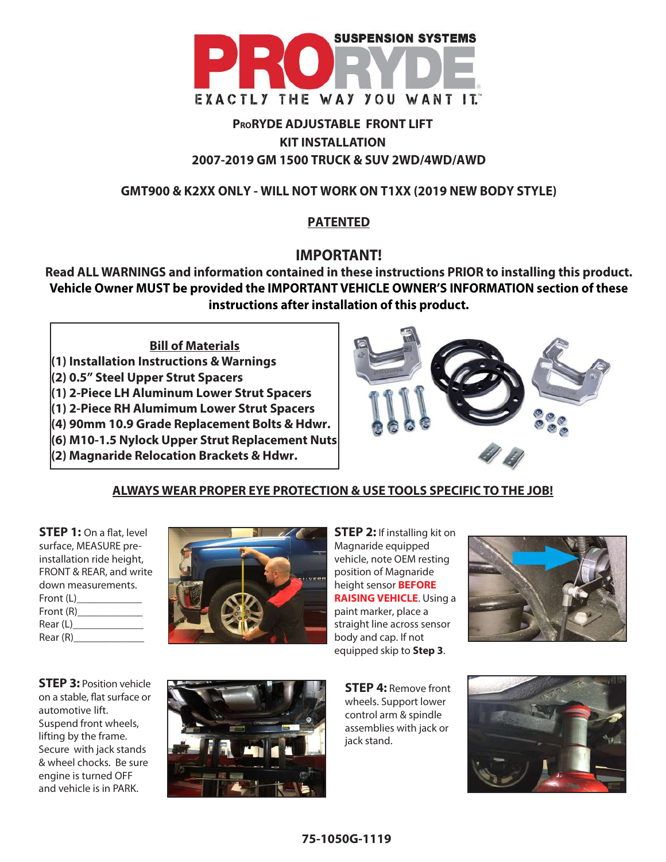

# **PRORYDE ADJUSTABLE FRONT LIFT KIT INSTALLATION 2007-2019 GM 1500 TRUCK & SUV 2WD/4WD/AWD**

# **GMT900 & K2XX ONLY - WILL NOT WORK ON T1XX (2019 NEW BODY STYLE)**

# **PATENTED**

# **IMPORTANT!**

**Read ALL WARNINGS and information contained in these instructions PRIOR to installing this product. Vehicle Owner MUST be provided the IMPORTANT VEHICLE OWNER'S INFORMATION section of these instructions after installation of this product.**

**Bill of Materials (1) Installation Instructions & Warnings (2) 0.5" Steel Upper Strut Spacers (1) 2-Piece LH Aluminum Lower Strut Spacers (1) 2-Piece RH Alumimum Lower Strut Spacers (4) 90mm 10.9 Grade Replacement Bolts & Hdwr. (6) M10-1.5 Nylock Upper Strut Replacement Nuts (2) Magnaride Relocation Brackets & Hdwr.**



# **ALWAYS WEAR PROPER EYE PROTECTION & USE TOOLS SPECIFIC TO THE JOB!**

**STEP 1:** On a flat, level surface, MEASURE preinstallation ride height, FRONT & REAR, and write down measurements. Front (L) Front (R)  $Rear(L)$  $Rear(R)$ 



**STEP 2:** If installing kit on Magnaride equipped vehicle, note OEM resting position of Magnaride height sensor **BEFORE RAISING VEHICLE**. Using a paint marker, place a straight line across sensor body and cap. If not equipped skip to **Step 3**.



**STEP 3:** Position vehicle on a stable, flat surface or automotive lift. Suspend front wheels, lifting by the frame. Secure with jack stands & wheel chocks. Be sure engine is turned OFF and vehicle is in PARK.



**STEP 4:** Remove front wheels. Support lower control arm & spindle assemblies with jack or jack stand.

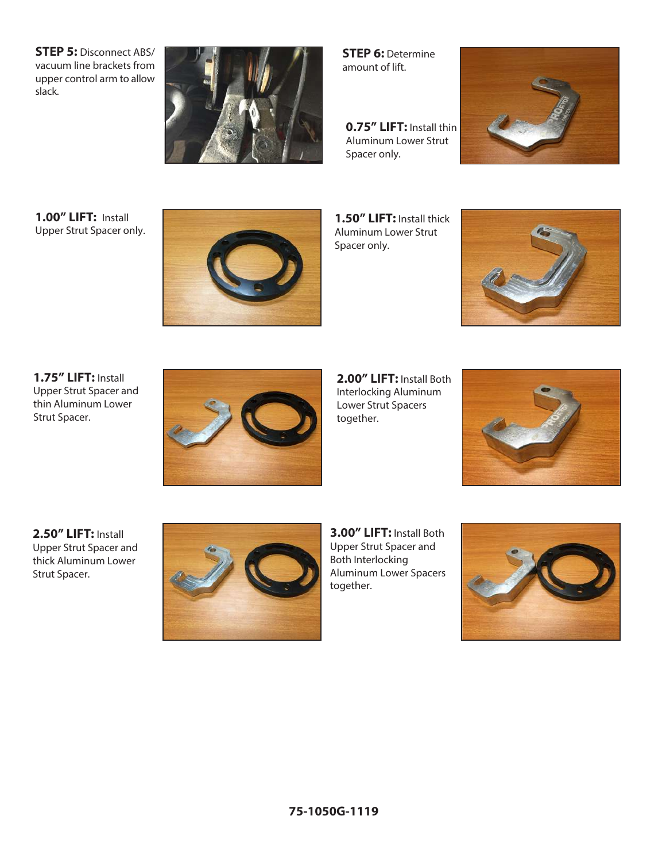**STEP 5:** Disconnect ABS/ vacuum line brackets from upper control arm to allow slack.



**STEP 6:** Determine amount of lift.

**0.75" LIFT:** Install thin Aluminum Lower Strut Spacer only.



**1.00" LIFT:** Install Upper Strut Spacer only.



**1.50" LIFT:** Install thick Aluminum Lower Strut Spacer only.



**1.75" LIFT:** Install Upper Strut Spacer and thin Aluminum Lower Strut Spacer.



**2.00" LIFT:** Install Both Interlocking Aluminum Lower Strut Spacers together.



**2.50" LIFT:** Install Upper Strut Spacer and thick Aluminum Lower Strut Spacer.



**3.00" LIFT:** Install Both Upper Strut Spacer and Both Interlocking Aluminum Lower Spacers together.

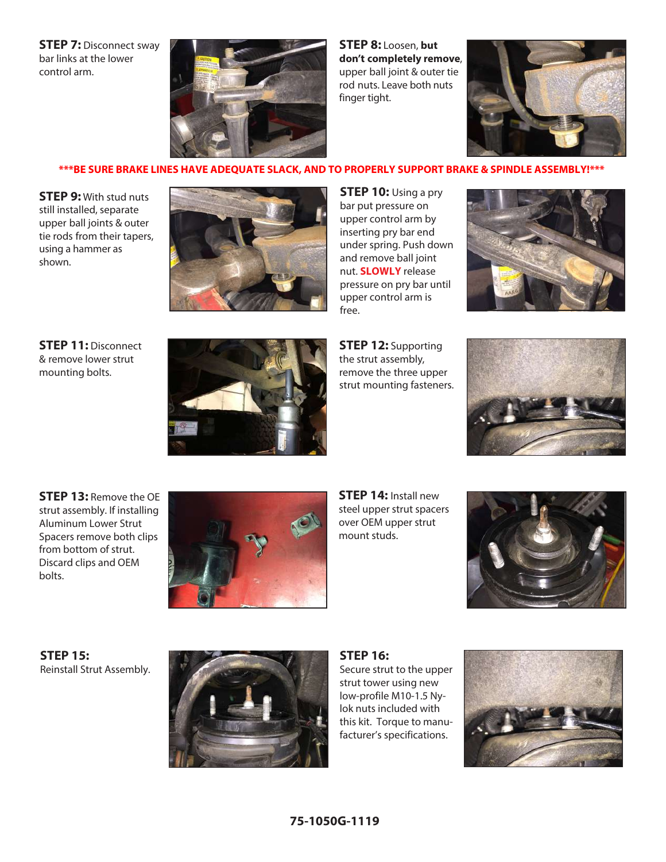**STEP 7:** Disconnect sway bar links at the lower control arm.



**STEP 8:** Loosen, **but don't completely remove**, upper ball joint & outer tie rod nuts. Leave both nuts finger tight.



#### \*\*\*BE SURE BRAKE LINES HAVE ADEQUATE SLACK, AND TO PROPERLY SUPPORT BRAKE & SPINDLE ASSEMBLY!\*\*\*

**STEP 9:** With stud nuts still installed, separate upper ball joints & outer tie rods from their tapers, using a hammer as shown.



**STEP 10:** Using a pry bar put pressure on upper control arm by inserting pry bar end under spring. Push down and remove ball joint nut. **SLOWLY** release pressure on pry bar until upper control arm is free.



**STEP 11:** Disconnect & remove lower strut mounting bolts.



**STEP 12:** Supporting the strut assembly, remove the three upper strut mounting fasteners.



**STEP 13:** Remove the OE strut assembly. If installing Aluminum Lower Strut Spacers remove both clips from bottom of strut. Discard clips and OEM bolts.



**STEP 14:** Install new steel upper strut spacers over OEM upper strut mount studs.



**STEP 15:** Reinstall Strut Assembly.



**STEP 16:**

Secure strut to the upper strut tower using new low-profile M10-1.5 Nylok nuts included with this kit. Torque to manufacturer's specifications.

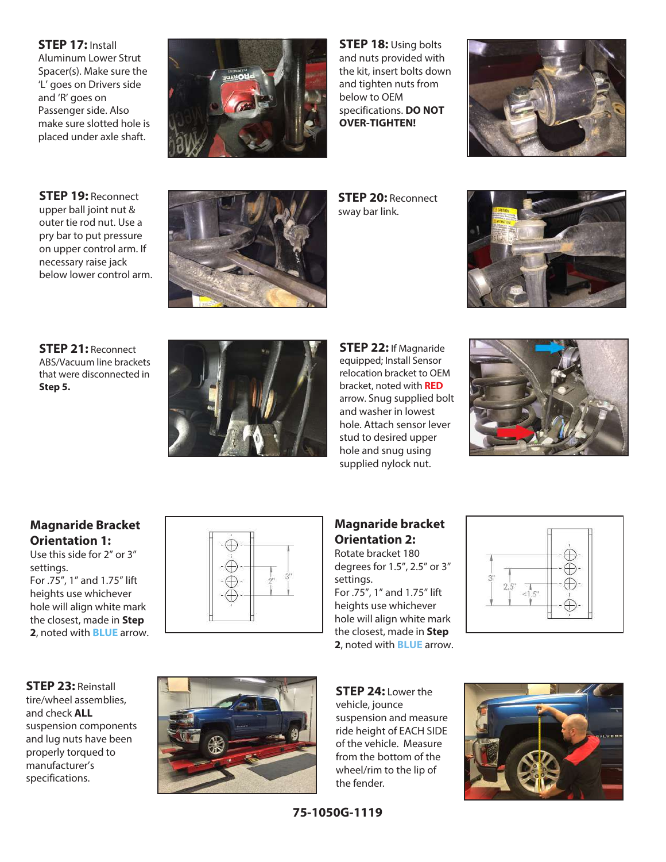**STEP 17:** Install Aluminum Lower Strut Spacer(s). Make sure the 'L' goes on Drivers side and 'R' goes on Passenger side. Also make sure slotted hole is placed under axle shaft.



**STEP 18:** Using bolts and nuts provided with the kit, insert bolts down and tighten nuts from below to OEM specifications. **DO NOT OVER-TIGHTEN!**



**STEP 19:** Reconnect upper ball joint nut & outer tie rod nut. Use a pry bar to put pressure on upper control arm. If necessary raise jack below lower control arm.



**STEP 20:** Reconnect sway bar link.



**STEP 21:** Reconnect ABS/Vacuum line brackets that were disconnected in **Step 5.**



**STEP 22:** If Magnaride equipped; Install Sensor relocation bracket to OEM bracket, noted with **RED** arrow. Snug supplied bolt and washer in lowest hole. Attach sensor lever stud to desired upper hole and snug using supplied nylock nut.



## **Magnaride Bracket Orientation 1:**

Use this side for 2" or 3" settings. For .75", 1" and 1.75" lift heights use whichever hole will align white mark the closest, made in **Step 2**, noted with **BLUE** arrow.



#### **Magnaride bracket Orientation 2:** Rotate bracket 180

degrees for 1.5", 2.5" or 3" settings. For .75", 1" and 1.75" lift heights use whichever hole will align white mark the closest, made in **Step** 

**2**, noted with **BLUE** arrow.



**STEP 23:** Reinstall tire/wheel assemblies, and check **ALL** suspension components and lug nuts have been properly torqued to manufacturer's specifications.



**STEP 24:** Lower the vehicle, jounce suspension and measure ride height of EACH SIDE of the vehicle. Measure from the bottom of the wheel/rim to the lip of the fender.



**75-1050G-1119**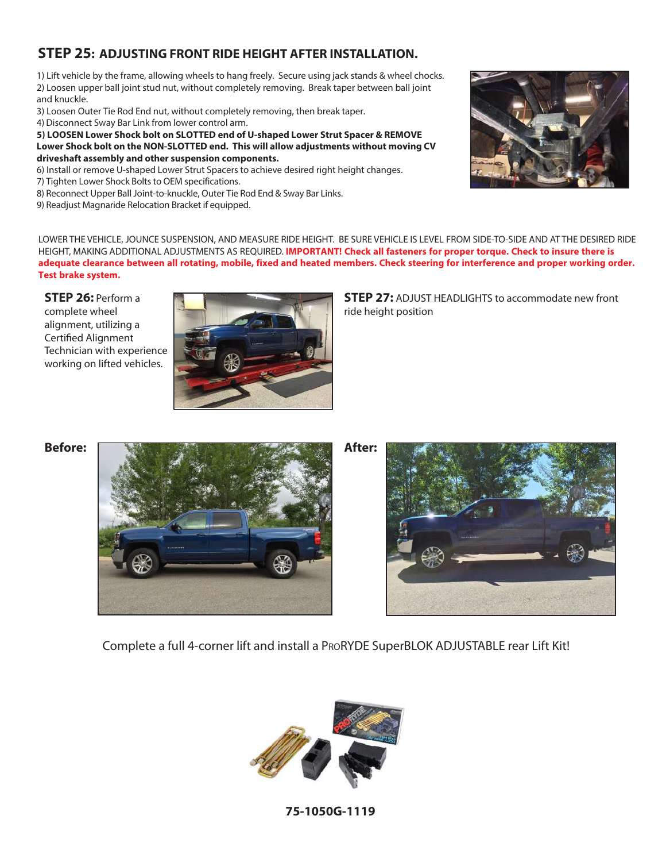# **STEP 25: ADJUSTING FRONT RIDE HEIGHT AFTER INSTALLATION.**

1) Lift vehicle by the frame, allowing wheels to hang freely. Secure using jack stands & wheel chocks. 2) Loosen upper ball joint stud nut, without completely removing. Break taper between ball joint and knuckle.

3) Loosen Outer Tie Rod End nut, without completely removing, then break taper.

4) Disconnect Sway Bar Link from lower control arm.

**5) LOOSEN Lower Shock bolt on SLOTTED end of U-shaped Lower Strut Spacer & REMOVE Lower Shock bolt on the NON-SLOTTED end. This will allow adjustments without moving CV driveshaft assembly and other suspension components.** 

- 6) Install or remove U-shaped Lower Strut Spacers to achieve desired right height changes.
- 7) Tighten Lower Shock Bolts to OEM specifications.
- 8) Reconnect Upper Ball Joint-to-knuckle, Outer Tie Rod End & Sway Bar Links.
- 9) Readjust Magnaride Relocation Bracket if equipped.



LOWER THE VEHICLE, JOUNCE SUSPENSION, AND MEASURE RIDE HEIGHT. BE SURE VEHICLE IS LEVEL FROM SIDE-TO-SIDE AND AT THE DESIRED RIDE HEIGHT, MAKING ADDITIONAL ADJUSTMENTS AS REQUIRED. **IMPORTANT! Check all fasteners for proper torque. Check to insure there is** adequate clearance between all rotating, mobile, fixed and heated members. Check steering for interference and proper working order. **Test brake system.**

**STEP 26:** Perform a complete wheel alignment, utilizing a Certified Alignment Technician with experience working on lifted vehicles.



**STEP 27:** ADJUST HEADLIGHTS to accommodate new front ride height position





Complete a full 4-corner lift and install a PRORYDE SuperBLOK ADJUSTABLE rear Lift Kit!



**75-1050G-1119**